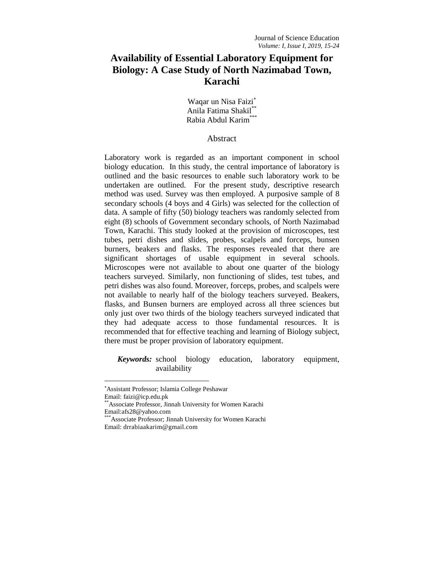# **Availability of Essential Laboratory Equipment for Biology: A Case Study of North Nazimabad Town, Karachi**

Waqar un Nisa Faizi Anila Fatima Shakil\*\* Rabia Abdul Karim<sup>\*\*</sup>

#### Abstract

Laboratory work is regarded as an important component in school biology education. In this study, the central importance of laboratory is outlined and the basic resources to enable such laboratory work to be undertaken are outlined. For the present study, descriptive research method was used. Survey was then employed. A purposive sample of 8 secondary schools (4 boys and 4 Girls) was selected for the collection of data. A sample of fifty (50) biology teachers was randomly selected from eight (8) schools of Government secondary schools, of North Nazimabad Town, Karachi. This study looked at the provision of microscopes, test tubes, petri dishes and slides, probes, scalpels and forceps, bunsen burners, beakers and flasks. The responses revealed that there are significant shortages of usable equipment in several schools. Microscopes were not available to about one quarter of the biology teachers surveyed. Similarly, non functioning of slides, test tubes, and petri dishes was also found. Moreover, forceps, probes, and scalpels were not available to nearly half of the biology teachers surveyed. Beakers, flasks, and Bunsen burners are employed across all three sciences but only just over two thirds of the biology teachers surveyed indicated that they had adequate access to those fundamental resources. It is recommended that for effective teaching and learning of Biology subject, there must be proper provision of laboratory equipment.

*Keywords:* school biology education, laboratory equipment, availability

 $\overline{\phantom{a}}$ 

Assistant Professor; Islamia College Peshawar

Email: faizi@icp.edu.pk

<sup>\*</sup>Associate Professor, Jinnah University for Women Karachi Email:afs28@yahoo.com

<sup>\*</sup>Associate Professor; Jinnah University for Women Karachi Email: drrabiaakarim@gmail.com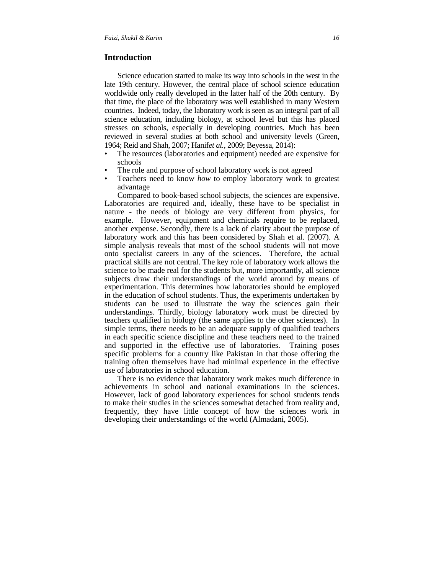## **Introduction**

Science education started to make its way into schools in the west in the late 19th century. However, the central place of school science education worldwide only really developed in the latter half of the 20th century. By that time, the place of the laboratory was well established in many Western countries. Indeed, today, the laboratory work is seen as an integral part of all science education, including biology, at school level but this has placed stresses on schools, especially in developing countries. Much has been reviewed in several studies at both school and university levels (Green, 1964; Reid and Shah, 2007; Hanif*et al.,* 2009; Beyessa, 2014):

- The resources (laboratories and equipment) needed are expensive for schools
- The role and purpose of school laboratory work is not agreed
- Teachers need to know *how* to employ laboratory work to greatest advantage

Compared to book-based school subjects, the sciences are expensive. Laboratories are required and, ideally, these have to be specialist in nature - the needs of biology are very different from physics, for example. However, equipment and chemicals require to be replaced, another expense. Secondly, there is a lack of clarity about the purpose of laboratory work and this has been considered by Shah et al. (2007). A simple analysis reveals that most of the school students will not move onto specialist careers in any of the sciences. Therefore, the actual practical skills are not central. The key role of laboratory work allows the science to be made real for the students but, more importantly, all science subjects draw their understandings of the world around by means of experimentation. This determines how laboratories should be employed in the education of school students. Thus, the experiments undertaken by students can be used to illustrate the way the sciences gain their understandings. Thirdly, biology laboratory work must be directed by teachers qualified in biology (the same applies to the other sciences). In simple terms, there needs to be an adequate supply of qualified teachers in each specific science discipline and these teachers need to the trained and supported in the effective use of laboratories. Training poses specific problems for a country like Pakistan in that those offering the training often themselves have had minimal experience in the effective use of laboratories in school education.

There is no evidence that laboratory work makes much difference in achievements in school and national examinations in the sciences. However, lack of good laboratory experiences for school students tends to make their studies in the sciences somewhat detached from reality and, frequently, they have little concept of how the sciences work in developing their understandings of the world (Almadani, 2005).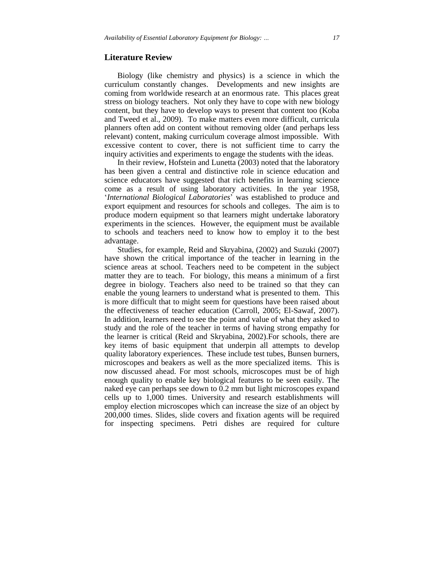#### **Literature Review**

Biology (like chemistry and physics) is a science in which the curriculum constantly changes. Developments and new insights are coming from worldwide research at an enormous rate. This places great stress on biology teachers. Not only they have to cope with new biology content, but they have to develop ways to present that content too (Koba and Tweed et al., 2009). To make matters even more difficult, curricula planners often add on content without removing older (and perhaps less relevant) content, making curriculum coverage almost impossible. With excessive content to cover, there is not sufficient time to carry the inquiry activities and experiments to engage the students with the ideas.

In their review, Hofstein and Lunetta (2003) noted that the laboratory has been given a central and distinctive role in science education and science educators have suggested that rich benefits in learning science come as a result of using laboratory activities. In the year 1958, '*International Biological Laboratories*' was established to produce and export equipment and resources for schools and colleges. The aim is to produce modern equipment so that learners might undertake laboratory experiments in the sciences. However, the equipment must be available to schools and teachers need to know how to employ it to the best advantage.

Studies, for example, Reid and Skryabina, (2002) and Suzuki (2007) have shown the critical importance of the teacher in learning in the science areas at school. Teachers need to be competent in the subject matter they are to teach. For biology, this means a minimum of a first degree in biology. Teachers also need to be trained so that they can enable the young learners to understand what is presented to them. This is more difficult that to might seem for questions have been raised about the effectiveness of teacher education (Carroll, 2005; El-Sawaf, 2007). In addition, learners need to see the point and value of what they asked to study and the role of the teacher in terms of having strong empathy for the learner is critical (Reid and Skryabina, 2002).For schools, there are key items of basic equipment that underpin all attempts to develop quality laboratory experiences. These include test tubes, Bunsen burners, microscopes and beakers as well as the more specialized items. This is now discussed ahead. For most schools, microscopes must be of high enough quality to enable key biological features to be seen easily. The naked eye can perhaps see down to 0.2 mm but light microscopes expand cells up to 1,000 times. University and research establishments will employ election microscopes which can increase the size of an object by 200,000 times. Slides, slide covers and fixation agents will be required for inspecting specimens. Petri dishes are required for culture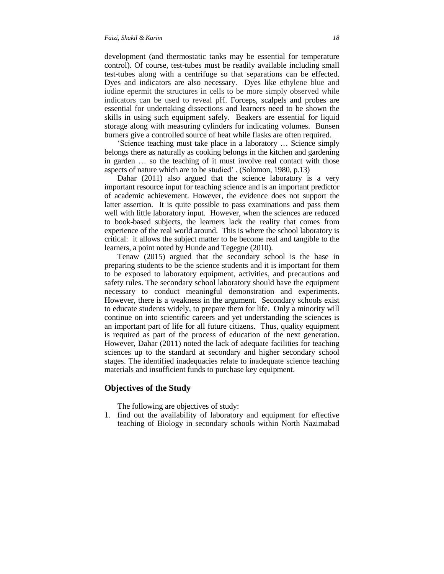development (and thermostatic tanks may be essential for temperature control). Of course, test-tubes must be readily available including small test-tubes along with a centrifuge so that separations can be effected. Dyes and indicators are also necessary. Dyes like ethylene blue and iodine epermit the structures in cells to be more simply observed while indicators can be used to reveal pH. Forceps, scalpels and probes are essential for undertaking dissections and learners need to be shown the skills in using such equipment safely. Beakers are essential for liquid storage along with measuring cylinders for indicating volumes. Bunsen burners give a controlled source of heat while flasks are often required.

'Science teaching must take place in a laboratory … Science simply belongs there as naturally as cooking belongs in the kitchen and gardening in garden … so the teaching of it must involve real contact with those aspects of nature which are to be studied' . (Solomon, 1980, p.13)

Dahar (2011) also argued that the science laboratory is a very important resource input for teaching science and is an important predictor of academic achievement. However, the evidence does not support the latter assertion. It is quite possible to pass examinations and pass them well with little laboratory input. However, when the sciences are reduced to book-based subjects, the learners lack the reality that comes from experience of the real world around. This is where the school laboratory is critical: it allows the subject matter to be become real and tangible to the learners, a point noted by Hunde and Tegegne (2010).

Tenaw (2015) argued that the secondary school is the base in preparing students to be the science students and it is important for them to be exposed to laboratory equipment, activities, and precautions and safety rules. The secondary school laboratory should have the equipment necessary to conduct meaningful demonstration and experiments. However, there is a weakness in the argument. Secondary schools exist to educate students widely, to prepare them for life. Only a minority will continue on into scientific careers and yet understanding the sciences is an important part of life for all future citizens. Thus, quality equipment is required as part of the process of education of the next generation. However, Dahar (2011) noted the lack of adequate facilities for teaching sciences up to the standard at secondary and higher secondary school stages. The identified inadequacies relate to inadequate science teaching materials and insufficient funds to purchase key equipment.

#### **Objectives of the Study**

The following are objectives of study:

1. find out the availability of laboratory and equipment for effective teaching of Biology in secondary schools within North Nazimabad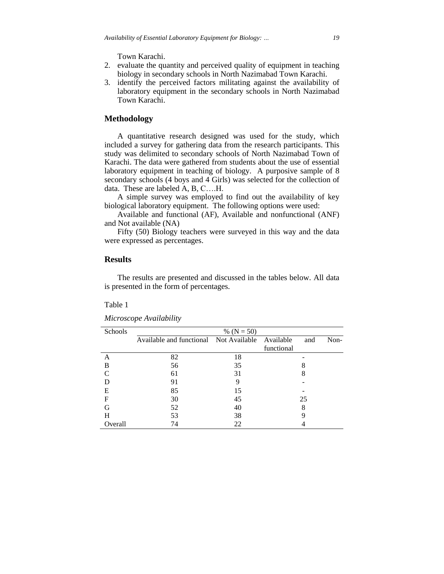Town Karachi.

- 2. evaluate the quantity and perceived quality of equipment in teaching biology in secondary schools in North Nazimabad Town Karachi.
- 3. identify the perceived factors militating against the availability of laboratory equipment in the secondary schools in North Nazimabad Town Karachi.

# **Methodology**

A quantitative research designed was used for the study, which included a survey for gathering data from the research participants. This study was delimited to secondary schools of North Nazimabad Town of Karachi. The data were gathered from students about the use of essential laboratory equipment in teaching of biology. A purposive sample of 8 secondary schools (4 boys and 4 Girls) was selected for the collection of data. These are labeled A, B, C….H.

A simple survey was employed to find out the availability of key biological laboratory equipment. The following options were used:

Available and functional (AF), Available and nonfunctional (ANF) and Not available (NA)

Fifty (50) Biology teachers were surveyed in this way and the data were expressed as percentages.

## **Results**

The results are presented and discussed in the tables below. All data is presented in the form of percentages.

#### Table 1

| Schools            | % ( $N = 50$ )                         |    |            |             |  |
|--------------------|----------------------------------------|----|------------|-------------|--|
|                    | Available and functional Not Available |    | Available  | Non-<br>and |  |
|                    |                                        |    | functional |             |  |
| А                  | 82                                     | 18 |            |             |  |
| B                  | 56                                     | 35 |            |             |  |
| $\curvearrowright$ | 61                                     | 31 | 8          |             |  |
|                    | 91                                     | 9  |            |             |  |
| E                  | 85                                     | 15 |            |             |  |
| F                  | 30                                     | 45 | 25         |             |  |
| G                  | 52                                     | 40 | 8          |             |  |
| Н                  | 53                                     | 38 |            |             |  |
| Overall            | 74                                     | 22 |            |             |  |

*Microscope Availability*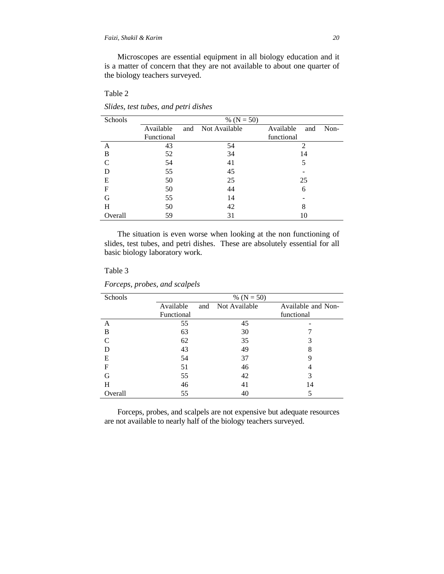Microscopes are essential equipment in all biology education and it is a matter of concern that they are not available to about one quarter of the biology teachers surveyed.

## Table 2

| Schools     | % $(N = 50)$ |     |               |                  |      |
|-------------|--------------|-----|---------------|------------------|------|
|             | Available    | and | Not Available | Available<br>and | Non- |
|             | Functional   |     |               | functional       |      |
| A           | 43           |     | 54            | 2                |      |
| B           | 52           |     | 34            | 14               |      |
| C           | 54           |     | 41            | 5                |      |
| D           | 55           |     | 45            |                  |      |
| E           | 50           |     | 25            | 25               |      |
| $\mathbf F$ | 50           |     | 44            | 6                |      |
| G           | 55           |     | 14            |                  |      |
| Н           | 50           |     | 42            | 8                |      |
| Overall     | 59           |     | 31            | 10               |      |

*Slides, test tubes, and petri dishes*

The situation is even worse when looking at the non functioning of slides, test tubes, and petri dishes. These are absolutely essential for all basic biology laboratory work.

## Table 3

| Schools       | % $(N = 50)$ |     |               |                    |
|---------------|--------------|-----|---------------|--------------------|
|               | Available    | and | Not Available | Available and Non- |
|               | Functional   |     |               | functional         |
| A             | 55           |     | 45            |                    |
| B             | 63           |     | 30            |                    |
| $\mathcal{C}$ | 62           |     | 35            | 3                  |
| D             | 43           |     | 49            | 8                  |
| E             | 54           |     | 37            | 9                  |
| F             | 51           |     | 46            | 4                  |
| G             | 55           |     | 42            | 3                  |
| Н             | 46           |     | 41            | 14                 |
| Overall       | 55           |     | 40            |                    |

*Forceps, probes, and scalpels*

Forceps, probes, and scalpels are not expensive but adequate resources are not available to nearly half of the biology teachers surveyed.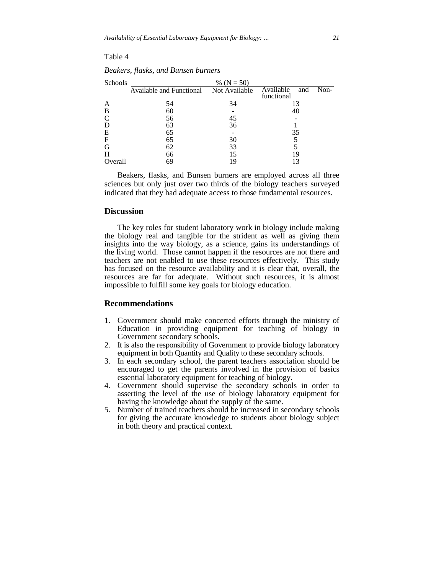## Table 4

| Schools | % ( $N = 50$ )                         |    |                          |  |  |  |  |
|---------|----------------------------------------|----|--------------------------|--|--|--|--|
|         |                                        |    |                          |  |  |  |  |
|         | Available and Functional Not Available |    | Available<br>Non-<br>and |  |  |  |  |
|         |                                        |    | functional               |  |  |  |  |
|         | 54                                     | 34 | 13                       |  |  |  |  |
| B       | 60                                     |    | 40                       |  |  |  |  |
|         | 56                                     | 45 |                          |  |  |  |  |
|         | 63                                     | 36 |                          |  |  |  |  |
| F       | 65                                     |    | 35                       |  |  |  |  |
|         | 65                                     | 30 |                          |  |  |  |  |
|         | 62                                     | 33 |                          |  |  |  |  |
| Н       | 66                                     | 15 | 19                       |  |  |  |  |
| Overall | 69                                     | 19 |                          |  |  |  |  |

*Beakers, flasks, and Bunsen burners*

Beakers, flasks, and Bunsen burners are employed across all three sciences but only just over two thirds of the biology teachers surveyed indicated that they had adequate access to those fundamental resources.

#### **Discussion**

The key roles for student laboratory work in biology include making the biology real and tangible for the strident as well as giving them insights into the way biology, as a science, gains its understandings of the living world. Those cannot happen if the resources are not there and teachers are not enabled to use these resources effectively. This study has focused on the resource availability and it is clear that, overall, the resources are far for adequate. Without such resources, it is almost impossible to fulfill some key goals for biology education.

#### **Recommendations**

- 1. Government should make concerted efforts through the ministry of Education in providing equipment for teaching of biology in Government secondary schools.
- 2. It is also the responsibility of Government to provide biology laboratory equipment in both Quantity and Quality to these secondary schools.
- 3. In each secondary school, the parent teachers association should be encouraged to get the parents involved in the provision of basics essential laboratory equipment for teaching of biology.
- 4. Government should supervise the secondary schools in order to asserting the level of the use of biology laboratory equipment for having the knowledge about the supply of the same.
- 5. Number of trained teachers should be increased in secondary schools for giving the accurate knowledge to students about biology subject in both theory and practical context.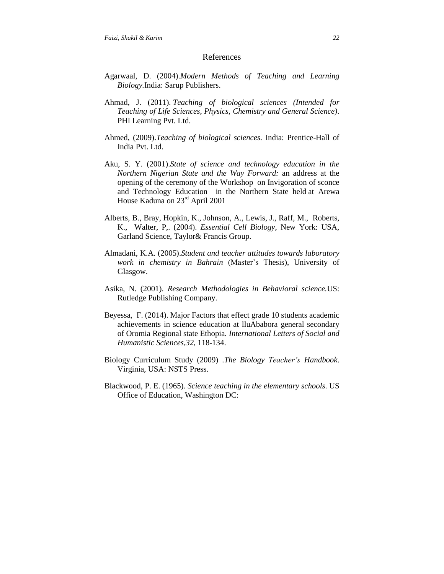#### References

- Agarwaal, D. (2004).*Modern Methods of Teaching and Learning Biology.*India: Sarup Publishers.
- Ahmad, J. (2011). *Teaching of biological sciences (Intended for Teaching of Life Sciences, Physics, Chemistry and General Science)*. PHI Learning Pvt. Ltd.
- Ahmed, (2009).*Teaching of biological sciences.* India: Prentice-Hall of India Pvt. Ltd.
- Aku, S. Y. (2001).*State of science and technology education in the Northern Nigerian State and the Way Forward:* an address at the opening of the ceremony of the Workshop on Invigoration of sconce and Technology Education in the Northern State held at Arewa House Kaduna on 23rd April 2001
- Alberts, B., Bray, Hopkin, K., Johnson, A., Lewis, J., Raff, M., Roberts, K., Walter, P,. (2004). *Essential Cell Biology*, New York: USA, Garland Science, Taylor& Francis Group.
- Almadani, K.A. (2005).*Student and teacher attitudes towards laboratory work in chemistry in Bahrain* (Master's Thesis), University of Glasgow.
- Asika, N. (2001). *Research Methodologies in Behavioral science.*US: Rutledge Publishing Company.
- Beyessa, F. (2014). Major Factors that effect grade 10 students academic achievements in science education at lluAbabora general secondary of Oromia Regional state Ethopia*. International Letters of Social and Humanistic Sciences,32*, 118-134.
- Biology Curriculum Study (2009) .*The Biology Teacher's Handbook*. Virginia, USA: NSTS Press.
- Blackwood, P. E. (1965). *Science teaching in the elementary schools*. US Office of Education, Washington DC: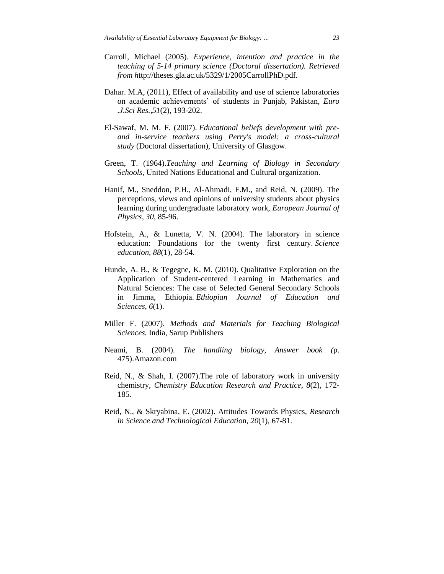- Carroll, Michael (2005). *Experience, intention and practice in the teaching of 5-14 primary science (Doctoral dissertation). Retrieved from h*ttp://theses.gla.ac.uk/5329/1/2005CarrollPhD.pdf.
- Dahar. M.A, (2011), Effect of availability and use of science laboratories on academic achievements' of students in Punjab, Pakistan, *Euro .J.Sci Res.,51*(2), 193-202.
- El-Sawaf, M. M. F. (2007). *Educational beliefs development with preand in-service teachers using Perry's model: a cross-cultural study* (Doctoral dissertation), University of Glasgow.
- Green, T. (1964).*Teaching and Learning of Biology in Secondary Schools,* United Nations Educational and Cultural organization.
- Hanif, M., Sneddon, P.H., Al-Ahmadi, F.M., and Reid, N. (2009). The perceptions, views and opinions of university students about physics learning during undergraduate laboratory work, *European Journal of Physics*, *30*, 85-96.
- Hofstein, A., & Lunetta, V. N. (2004). The laboratory in science education: Foundations for the twenty first century. *Science education*, *88*(1), 28-54.
- Hunde, A. B., & Tegegne, K. M. (2010). Qualitative Exploration on the Application of Student-centered Learning in Mathematics and Natural Sciences: The case of Selected General Secondary Schools in Jimma, Ethiopia. *Ethiopian Journal of Education and Sciences*, *6*(1).
- Miller F. (2007). *Methods and Materials for Teaching Biological Sciences.* India, Sarup Publishers
- Neami, B. (2004). *The handling biology, Answer book (*p. 475).Amazon.com
- Reid, N., & Shah, I. (2007).The role of laboratory work in university chemistry, *Chemistry Education Research and Practice*, *8*(2), 172- 185.
- Reid, N., & Skryabina, E. (2002). Attitudes Towards Physics, *Research in Science and Technological Educatio*n, *20*(1), 67-81.